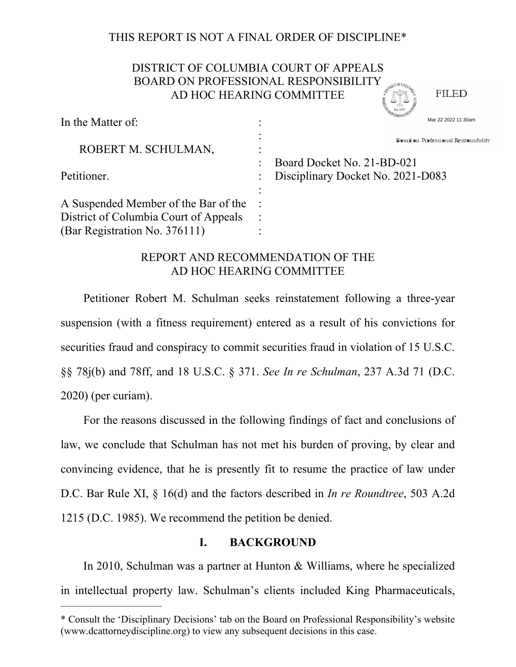## THIS REPORT IS NOT A FINAL ORDER OF DISCIPLINE\*

# DISTRICT OF COLUMBIA COURT OF APPEALS BOARD ON PROFESSIONAL RESPONSIBILITY AD HOC HEARING COMMITTEE

**FILED** 

| In the Matter of:                     | Mar 22 2022 11:30am                  |  |  |
|---------------------------------------|--------------------------------------|--|--|
| ROBERT M. SCHULMAN,                   | Board on Professional Responsibility |  |  |
|                                       | Board Docket No. 21-BD-021           |  |  |
| Petitioner.                           | Disciplinary Docket No. 2021-D083    |  |  |
|                                       |                                      |  |  |
| A Suspended Member of the Bar of the  |                                      |  |  |
| District of Columbia Court of Appeals |                                      |  |  |
| (Bar Registration No. 376111)         |                                      |  |  |

## REPORT AND RECOMMENDATION OF THE AD HOC HEARING COMMITTEE

Petitioner Robert M. Schulman seeks reinstatement following a three-year suspension (with a fitness requirement) entered as a result of his convictions for securities fraud and conspiracy to commit securities fraud in violation of 15 U.S.C. §§ 78j(b) and 78ff, and 18 U.S.C. § 371. *See In re Schulman*, 237 A.3d 71 (D.C. 2020) (per curiam).

For the reasons discussed in the following findings of fact and conclusions of law, we conclude that Schulman has not met his burden of proving, by clear and convincing evidence, that he is presently fit to resume the practice of law under D.C. Bar Rule XI, § 16(d) and the factors described in *In re Roundtree*, 503 A.2d 1215 (D.C. 1985). We recommend the petition be denied.

## **I. BACKGROUND**

In 2010, Schulman was a partner at Hunton & Williams, where he specialized in intellectual property law. Schulman's clients included King Pharmaceuticals,

——————————

In the Matter of:

<sup>\*</sup> Consult the 'Disciplinary Decisions' tab on the Board on Professional Responsibility's website (www.dcattorneydiscipline.org) to view any subsequent decisions in this case.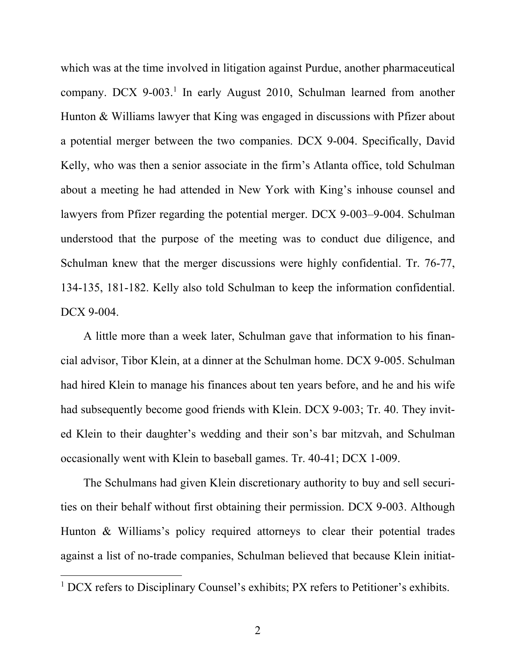which was at the time involved in litigation against Purdue, another pharmaceutical company. DCX 9-003.<sup>1</sup> In early August 2010, Schulman learned from another Hunton & Williams lawyer that King was engaged in discussions with Pfizer about a potential merger between the two companies. DCX 9-004. Specifically, David Kelly, who was then a senior associate in the firm's Atlanta office, told Schulman about a meeting he had attended in New York with King's inhouse counsel and lawyers from Pfizer regarding the potential merger. DCX 9-003–9-004. Schulman understood that the purpose of the meeting was to conduct due diligence, and Schulman knew that the merger discussions were highly confidential. Tr. 76-77, 134-135, 181-182. Kelly also told Schulman to keep the information confidential. DCX 9-004.

A little more than a week later, Schulman gave that information to his financial advisor, Tibor Klein, at a dinner at the Schulman home. DCX 9-005. Schulman had hired Klein to manage his finances about ten years before, and he and his wife had subsequently become good friends with Klein. DCX 9-003; Tr. 40. They invited Klein to their daughter's wedding and their son's bar mitzvah, and Schulman occasionally went with Klein to baseball games. Tr. 40-41; DCX 1-009.

The Schulmans had given Klein discretionary authority to buy and sell securities on their behalf without first obtaining their permission. DCX 9-003. Although Hunton & Williams's policy required attorneys to clear their potential trades against a list of no-trade companies, Schulman believed that because Klein initiat-

<sup>&</sup>lt;sup>1</sup> DCX refers to Disciplinary Counsel's exhibits; PX refers to Petitioner's exhibits.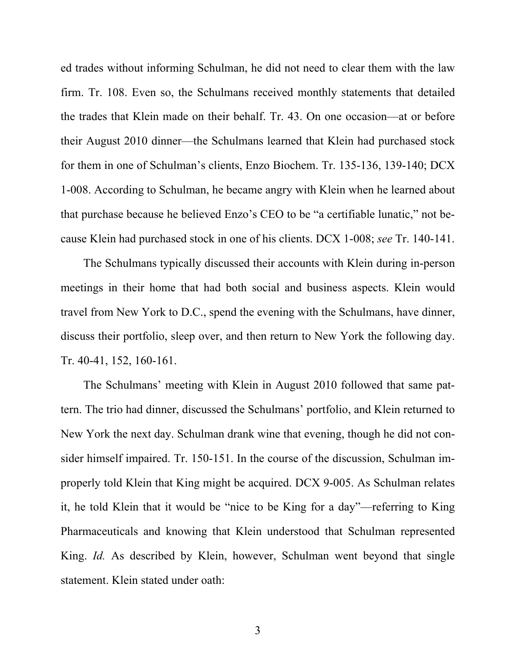ed trades without informing Schulman, he did not need to clear them with the law firm. Tr. 108. Even so, the Schulmans received monthly statements that detailed the trades that Klein made on their behalf. Tr. 43. On one occasion—at or before their August 2010 dinner—the Schulmans learned that Klein had purchased stock for them in one of Schulman's clients, Enzo Biochem. Tr. 135-136, 139-140; DCX 1-008. According to Schulman, he became angry with Klein when he learned about that purchase because he believed Enzo's CEO to be "a certifiable lunatic," not because Klein had purchased stock in one of his clients. DCX 1-008; *see* Tr. 140-141.

The Schulmans typically discussed their accounts with Klein during in-person meetings in their home that had both social and business aspects. Klein would travel from New York to D.C., spend the evening with the Schulmans, have dinner, discuss their portfolio, sleep over, and then return to New York the following day. Tr. 40-41, 152, 160-161.

The Schulmans' meeting with Klein in August 2010 followed that same pattern. The trio had dinner, discussed the Schulmans' portfolio, and Klein returned to New York the next day. Schulman drank wine that evening, though he did not consider himself impaired. Tr. 150-151. In the course of the discussion, Schulman improperly told Klein that King might be acquired. DCX 9-005. As Schulman relates it, he told Klein that it would be "nice to be King for a day"—referring to King Pharmaceuticals and knowing that Klein understood that Schulman represented King. *Id.* As described by Klein, however, Schulman went beyond that single statement. Klein stated under oath: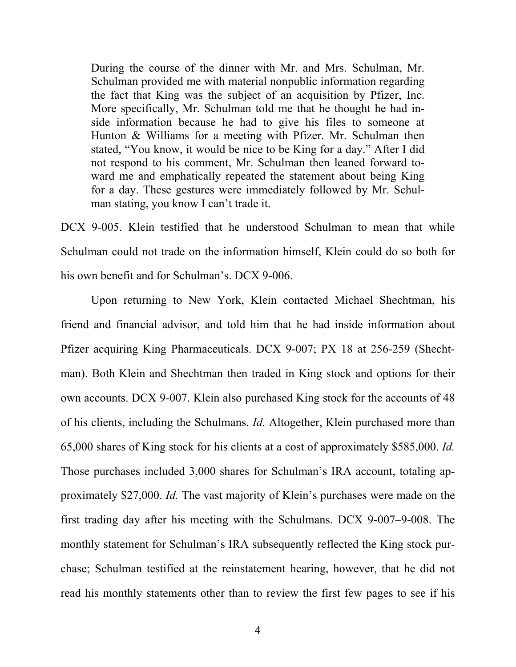During the course of the dinner with Mr. and Mrs. Schulman, Mr. Schulman provided me with material nonpublic information regarding the fact that King was the subject of an acquisition by Pfizer, Inc. More specifically, Mr. Schulman told me that he thought he had inside information because he had to give his files to someone at Hunton & Williams for a meeting with Pfizer. Mr. Schulman then stated, "You know, it would be nice to be King for a day." After I did not respond to his comment, Mr. Schulman then leaned forward toward me and emphatically repeated the statement about being King for a day. These gestures were immediately followed by Mr. Schulman stating, you know I can't trade it.

DCX 9-005. Klein testified that he understood Schulman to mean that while Schulman could not trade on the information himself, Klein could do so both for his own benefit and for Schulman's. DCX 9-006.

Upon returning to New York, Klein contacted Michael Shechtman, his friend and financial advisor, and told him that he had inside information about Pfizer acquiring King Pharmaceuticals. DCX 9-007; PX 18 at 256-259 (Shechtman). Both Klein and Shechtman then traded in King stock and options for their own accounts. DCX 9-007. Klein also purchased King stock for the accounts of 48 of his clients, including the Schulmans. *Id.* Altogether, Klein purchased more than 65,000 shares of King stock for his clients at a cost of approximately \$585,000. *Id.* Those purchases included 3,000 shares for Schulman's IRA account, totaling approximately \$27,000. *Id.* The vast majority of Klein's purchases were made on the first trading day after his meeting with the Schulmans. DCX 9-007–9-008. The monthly statement for Schulman's IRA subsequently reflected the King stock purchase; Schulman testified at the reinstatement hearing, however, that he did not read his monthly statements other than to review the first few pages to see if his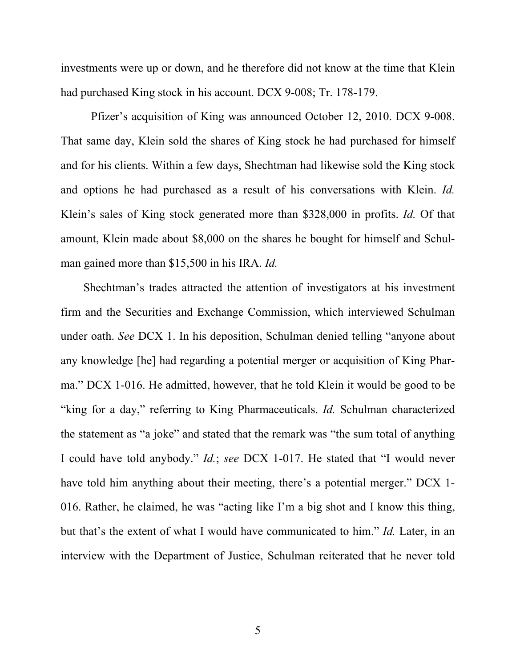investments were up or down, and he therefore did not know at the time that Klein had purchased King stock in his account. DCX 9-008; Tr. 178-179.

Pfizer's acquisition of King was announced October 12, 2010. DCX 9-008. That same day, Klein sold the shares of King stock he had purchased for himself and for his clients. Within a few days, Shechtman had likewise sold the King stock and options he had purchased as a result of his conversations with Klein. *Id.* Klein's sales of King stock generated more than \$328,000 in profits. *Id.* Of that amount, Klein made about \$8,000 on the shares he bought for himself and Schulman gained more than \$15,500 in his IRA. *Id.*

Shechtman's trades attracted the attention of investigators at his investment firm and the Securities and Exchange Commission, which interviewed Schulman under oath. *See* DCX 1. In his deposition, Schulman denied telling "anyone about any knowledge [he] had regarding a potential merger or acquisition of King Pharma." DCX 1-016. He admitted, however, that he told Klein it would be good to be "king for a day," referring to King Pharmaceuticals. *Id.* Schulman characterized the statement as "a joke" and stated that the remark was "the sum total of anything I could have told anybody." *Id.*; *see* DCX 1-017. He stated that "I would never have told him anything about their meeting, there's a potential merger." DCX 1- 016. Rather, he claimed, he was "acting like I'm a big shot and I know this thing, but that's the extent of what I would have communicated to him." *Id.* Later, in an interview with the Department of Justice, Schulman reiterated that he never told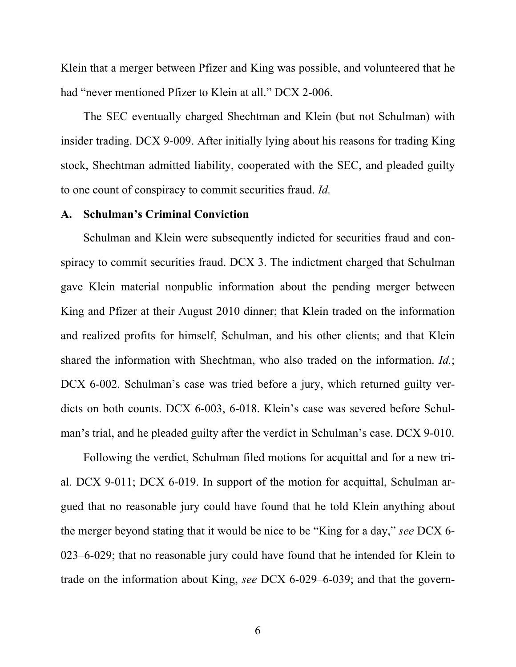Klein that a merger between Pfizer and King was possible, and volunteered that he had "never mentioned Pfizer to Klein at all." DCX 2-006.

The SEC eventually charged Shechtman and Klein (but not Schulman) with insider trading. DCX 9-009. After initially lying about his reasons for trading King stock, Shechtman admitted liability, cooperated with the SEC, and pleaded guilty to one count of conspiracy to commit securities fraud. *Id.*

### **A. Schulman's Criminal Conviction**

Schulman and Klein were subsequently indicted for securities fraud and conspiracy to commit securities fraud. DCX 3. The indictment charged that Schulman gave Klein material nonpublic information about the pending merger between King and Pfizer at their August 2010 dinner; that Klein traded on the information and realized profits for himself, Schulman, and his other clients; and that Klein shared the information with Shechtman, who also traded on the information. *Id.*; DCX 6-002. Schulman's case was tried before a jury, which returned guilty verdicts on both counts. DCX 6-003, 6-018. Klein's case was severed before Schulman's trial, and he pleaded guilty after the verdict in Schulman's case. DCX 9-010.

Following the verdict, Schulman filed motions for acquittal and for a new trial. DCX 9-011; DCX 6-019. In support of the motion for acquittal, Schulman argued that no reasonable jury could have found that he told Klein anything about the merger beyond stating that it would be nice to be "King for a day," *see* DCX 6- 023–6-029; that no reasonable jury could have found that he intended for Klein to trade on the information about King, *see* DCX 6-029–6-039; and that the govern-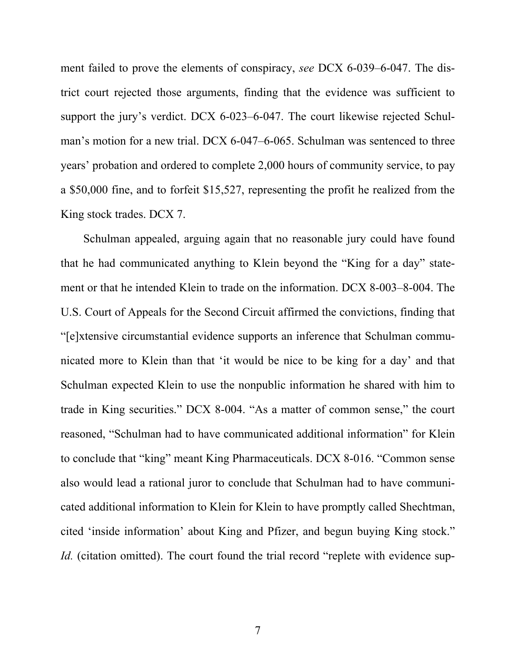ment failed to prove the elements of conspiracy, *see* DCX 6-039–6-047. The district court rejected those arguments, finding that the evidence was sufficient to support the jury's verdict. DCX 6-023–6-047. The court likewise rejected Schulman's motion for a new trial. DCX 6-047–6-065. Schulman was sentenced to three years' probation and ordered to complete 2,000 hours of community service, to pay a \$50,000 fine, and to forfeit \$15,527, representing the profit he realized from the King stock trades. DCX 7.

Schulman appealed, arguing again that no reasonable jury could have found that he had communicated anything to Klein beyond the "King for a day" statement or that he intended Klein to trade on the information. DCX 8-003–8-004. The U.S. Court of Appeals for the Second Circuit affirmed the convictions, finding that "[e]xtensive circumstantial evidence supports an inference that Schulman communicated more to Klein than that 'it would be nice to be king for a day' and that Schulman expected Klein to use the nonpublic information he shared with him to trade in King securities." DCX 8-004. "As a matter of common sense," the court reasoned, "Schulman had to have communicated additional information" for Klein to conclude that "king" meant King Pharmaceuticals. DCX 8-016. "Common sense also would lead a rational juror to conclude that Schulman had to have communicated additional information to Klein for Klein to have promptly called Shechtman, cited 'inside information' about King and Pfizer, and begun buying King stock." *Id.* (citation omitted). The court found the trial record "replete with evidence sup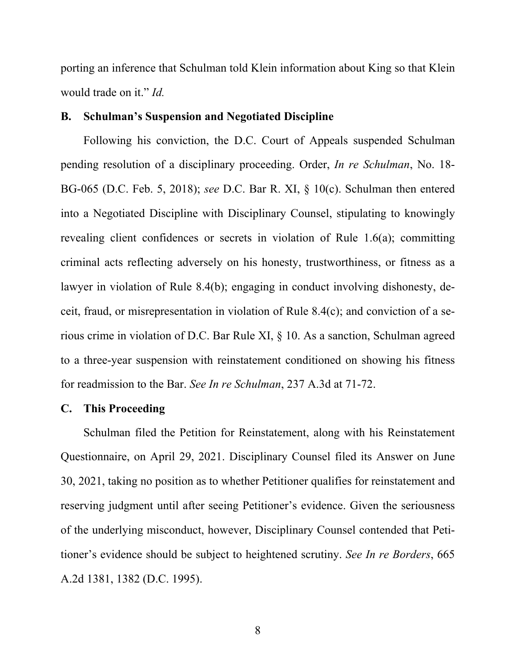porting an inference that Schulman told Klein information about King so that Klein would trade on it." *Id.*

## **B. Schulman's Suspension and Negotiated Discipline**

Following his conviction, the D.C. Court of Appeals suspended Schulman pending resolution of a disciplinary proceeding. Order, *In re Schulman*, No. 18- BG-065 (D.C. Feb. 5, 2018); *see* D.C. Bar R. XI, § 10(c). Schulman then entered into a Negotiated Discipline with Disciplinary Counsel, stipulating to knowingly revealing client confidences or secrets in violation of Rule 1.6(a); committing criminal acts reflecting adversely on his honesty, trustworthiness, or fitness as a lawyer in violation of Rule 8.4(b); engaging in conduct involving dishonesty, deceit, fraud, or misrepresentation in violation of Rule 8.4(c); and conviction of a serious crime in violation of D.C. Bar Rule XI, § 10. As a sanction, Schulman agreed to a three-year suspension with reinstatement conditioned on showing his fitness for readmission to the Bar. *See In re Schulman*, 237 A.3d at 71-72.

## **C. This Proceeding**

Schulman filed the Petition for Reinstatement, along with his Reinstatement Questionnaire, on April 29, 2021. Disciplinary Counsel filed its Answer on June 30, 2021, taking no position as to whether Petitioner qualifies for reinstatement and reserving judgment until after seeing Petitioner's evidence. Given the seriousness of the underlying misconduct, however, Disciplinary Counsel contended that Petitioner's evidence should be subject to heightened scrutiny. *See In re Borders*, 665 A.2d 1381, 1382 (D.C. 1995).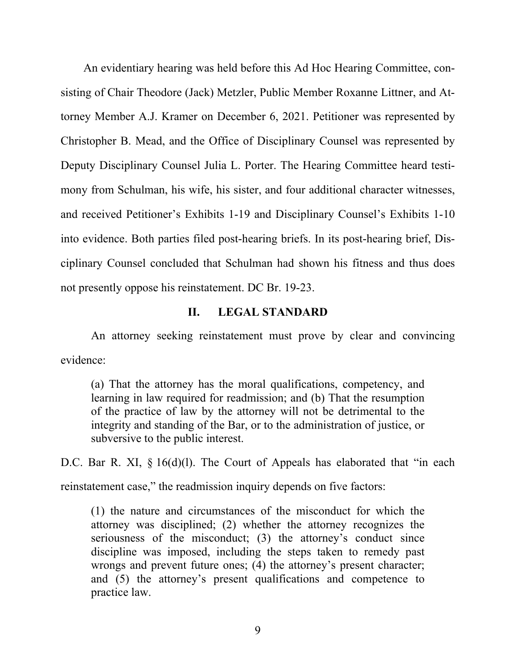An evidentiary hearing was held before this Ad Hoc Hearing Committee, consisting of Chair Theodore (Jack) Metzler, Public Member Roxanne Littner, and Attorney Member A.J. Kramer on December 6, 2021. Petitioner was represented by Christopher B. Mead, and the Office of Disciplinary Counsel was represented by Deputy Disciplinary Counsel Julia L. Porter. The Hearing Committee heard testimony from Schulman, his wife, his sister, and four additional character witnesses, and received Petitioner's Exhibits 1-19 and Disciplinary Counsel's Exhibits 1-10 into evidence. Both parties filed post-hearing briefs. In its post-hearing brief, Disciplinary Counsel concluded that Schulman had shown his fitness and thus does not presently oppose his reinstatement. DC Br. 19-23.

### **II. LEGAL STANDARD**

An attorney seeking reinstatement must prove by clear and convincing evidence:

(a) That the attorney has the moral qualifications, competency, and learning in law required for readmission; and (b) That the resumption of the practice of law by the attorney will not be detrimental to the integrity and standing of the Bar, or to the administration of justice, or subversive to the public interest.

D.C. Bar R. XI, § 16(d)(l). The Court of Appeals has elaborated that "in each reinstatement case," the readmission inquiry depends on five factors:

(1) the nature and circumstances of the misconduct for which the attorney was disciplined; (2) whether the attorney recognizes the seriousness of the misconduct; (3) the attorney's conduct since discipline was imposed, including the steps taken to remedy past wrongs and prevent future ones; (4) the attorney's present character; and (5) the attorney's present qualifications and competence to practice law.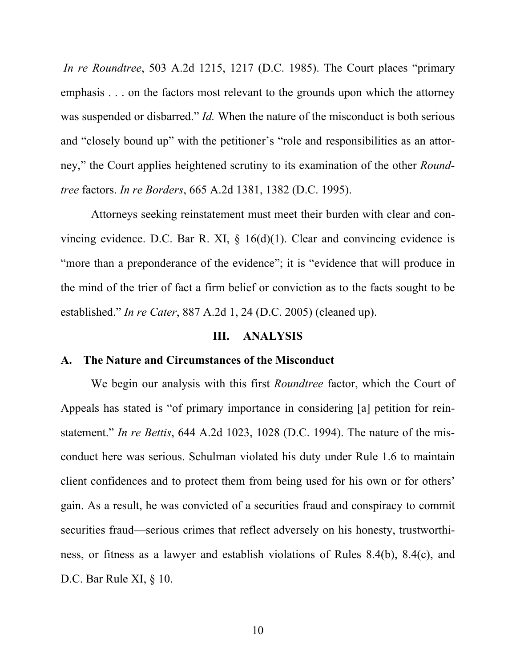*In re Roundtree*, 503 A.2d 1215, 1217 (D.C. 1985). The Court places "primary emphasis . . . on the factors most relevant to the grounds upon which the attorney was suspended or disbarred." *Id.* When the nature of the misconduct is both serious and "closely bound up" with the petitioner's "role and responsibilities as an attorney," the Court applies heightened scrutiny to its examination of the other *Roundtree* factors. *In re Borders*, 665 A.2d 1381, 1382 (D.C. 1995).

Attorneys seeking reinstatement must meet their burden with clear and convincing evidence. D.C. Bar R. XI,  $\S$  16(d)(1). Clear and convincing evidence is "more than a preponderance of the evidence"; it is "evidence that will produce in the mind of the trier of fact a firm belief or conviction as to the facts sought to be established." *In re Cater*, 887 A.2d 1, 24 (D.C. 2005) (cleaned up).

#### **III. ANALYSIS**

### **A. The Nature and Circumstances of the Misconduct**

We begin our analysis with this first *Roundtree* factor, which the Court of Appeals has stated is "of primary importance in considering [a] petition for reinstatement." *In re Bettis*, 644 A.2d 1023, 1028 (D.C. 1994). The nature of the misconduct here was serious. Schulman violated his duty under Rule 1.6 to maintain client confidences and to protect them from being used for his own or for others' gain. As a result, he was convicted of a securities fraud and conspiracy to commit securities fraud—serious crimes that reflect adversely on his honesty, trustworthiness, or fitness as a lawyer and establish violations of Rules 8.4(b), 8.4(c), and D.C. Bar Rule XI,  $\S$  10.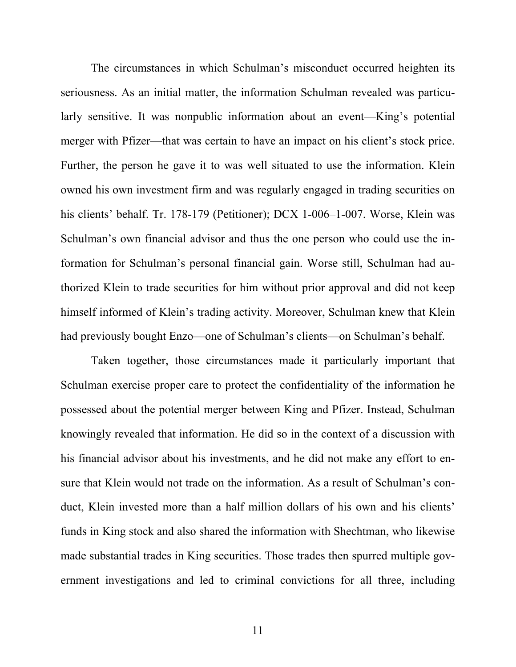The circumstances in which Schulman's misconduct occurred heighten its seriousness. As an initial matter, the information Schulman revealed was particularly sensitive. It was nonpublic information about an event—King's potential merger with Pfizer—that was certain to have an impact on his client's stock price. Further, the person he gave it to was well situated to use the information. Klein owned his own investment firm and was regularly engaged in trading securities on his clients' behalf. Tr. 178-179 (Petitioner); DCX 1-006-1-007. Worse, Klein was Schulman's own financial advisor and thus the one person who could use the information for Schulman's personal financial gain. Worse still, Schulman had authorized Klein to trade securities for him without prior approval and did not keep himself informed of Klein's trading activity. Moreover, Schulman knew that Klein had previously bought Enzo—one of Schulman's clients—on Schulman's behalf.

Taken together, those circumstances made it particularly important that Schulman exercise proper care to protect the confidentiality of the information he possessed about the potential merger between King and Pfizer. Instead, Schulman knowingly revealed that information. He did so in the context of a discussion with his financial advisor about his investments, and he did not make any effort to ensure that Klein would not trade on the information. As a result of Schulman's conduct, Klein invested more than a half million dollars of his own and his clients' funds in King stock and also shared the information with Shechtman, who likewise made substantial trades in King securities. Those trades then spurred multiple government investigations and led to criminal convictions for all three, including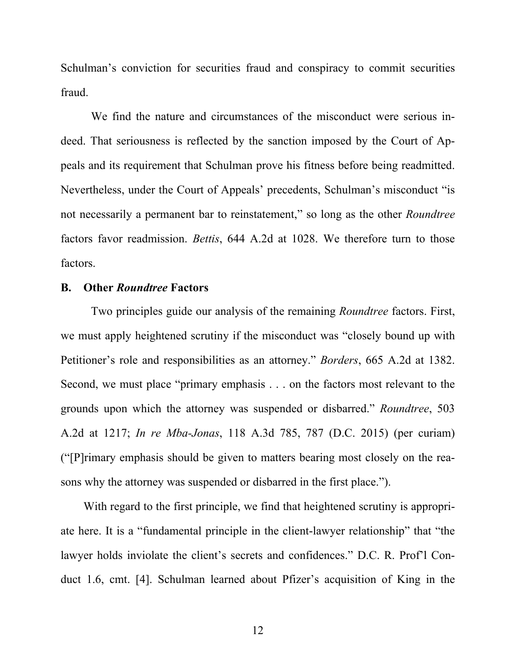Schulman's conviction for securities fraud and conspiracy to commit securities fraud.

We find the nature and circumstances of the misconduct were serious indeed. That seriousness is reflected by the sanction imposed by the Court of Appeals and its requirement that Schulman prove his fitness before being readmitted. Nevertheless, under the Court of Appeals' precedents, Schulman's misconduct "is not necessarily a permanent bar to reinstatement," so long as the other *Roundtree* factors favor readmission. *Bettis*, 644 A.2d at 1028. We therefore turn to those factors.

### **B. Other** *Roundtree* **Factors**

Two principles guide our analysis of the remaining *Roundtree* factors. First, we must apply heightened scrutiny if the misconduct was "closely bound up with Petitioner's role and responsibilities as an attorney." *Borders*, 665 A.2d at 1382. Second, we must place "primary emphasis . . . on the factors most relevant to the grounds upon which the attorney was suspended or disbarred." *Roundtree*, 503 A.2d at 1217; *In re Mba-Jonas*, 118 A.3d 785, 787 (D.C. 2015) (per curiam) ("[P]rimary emphasis should be given to matters bearing most closely on the reasons why the attorney was suspended or disbarred in the first place.").

With regard to the first principle, we find that heightened scrutiny is appropriate here. It is a "fundamental principle in the client-lawyer relationship" that "the lawyer holds inviolate the client's secrets and confidences." D.C. R. Prof'l Conduct 1.6, cmt. [4]. Schulman learned about Pfizer's acquisition of King in the

12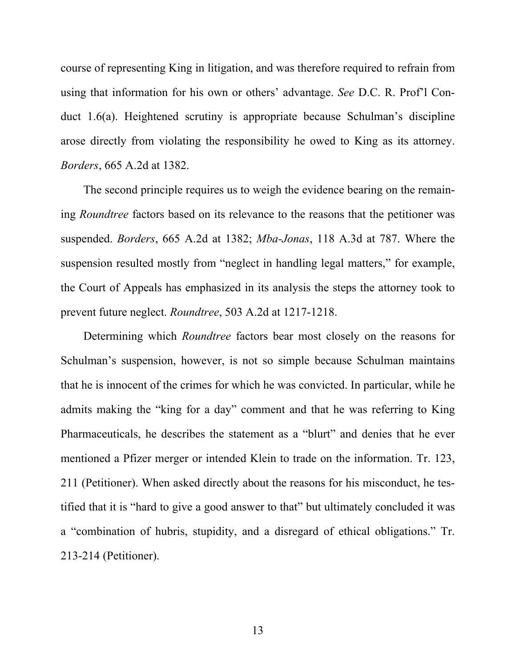course of representing King in litigation, and was therefore required to refrain from using that information for his own or others' advantage. *See* D.C. R. Prof'l Conduct 1.6(a). Heightened scrutiny is appropriate because Schulman's discipline arose directly from violating the responsibility he owed to King as its attorney. *Borders*, 665 A.2d at 1382.

The second principle requires us to weigh the evidence bearing on the remaining *Roundtree* factors based on its relevance to the reasons that the petitioner was suspended. *Borders*, 665 A.2d at 1382; *Mba-Jonas*, 118 A.3d at 787. Where the suspension resulted mostly from "neglect in handling legal matters," for example, the Court of Appeals has emphasized in its analysis the steps the attorney took to prevent future neglect. *Roundtree*, 503 A.2d at 1217-1218.

Determining which *Roundtree* factors bear most closely on the reasons for Schulman's suspension, however, is not so simple because Schulman maintains that he is innocent of the crimes for which he was convicted. In particular, while he admits making the "king for a day" comment and that he was referring to King Pharmaceuticals, he describes the statement as a "blurt" and denies that he ever mentioned a Pfizer merger or intended Klein to trade on the information. Tr. 123, 211 (Petitioner). When asked directly about the reasons for his misconduct, he testified that it is "hard to give a good answer to that" but ultimately concluded it was a "combination of hubris, stupidity, and a disregard of ethical obligations." Tr. 213-214 (Petitioner).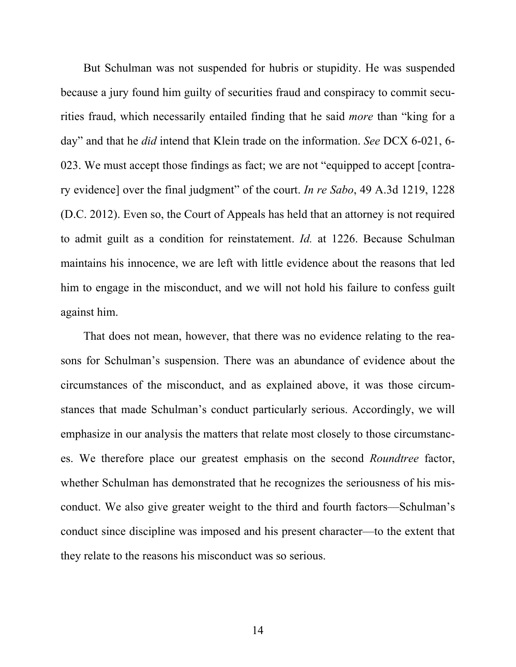But Schulman was not suspended for hubris or stupidity. He was suspended because a jury found him guilty of securities fraud and conspiracy to commit securities fraud, which necessarily entailed finding that he said *more* than "king for a day" and that he *did* intend that Klein trade on the information. *See* DCX 6-021, 6- 023. We must accept those findings as fact; we are not "equipped to accept [contrary evidence] over the final judgment" of the court. *In re Sabo*, 49 A.3d 1219, 1228 (D.C. 2012). Even so, the Court of Appeals has held that an attorney is not required to admit guilt as a condition for reinstatement. *Id.* at 1226. Because Schulman maintains his innocence, we are left with little evidence about the reasons that led him to engage in the misconduct, and we will not hold his failure to confess guilt against him.

That does not mean, however, that there was no evidence relating to the reasons for Schulman's suspension. There was an abundance of evidence about the circumstances of the misconduct, and as explained above, it was those circumstances that made Schulman's conduct particularly serious. Accordingly, we will emphasize in our analysis the matters that relate most closely to those circumstances. We therefore place our greatest emphasis on the second *Roundtree* factor, whether Schulman has demonstrated that he recognizes the seriousness of his misconduct. We also give greater weight to the third and fourth factors—Schulman's conduct since discipline was imposed and his present character—to the extent that they relate to the reasons his misconduct was so serious.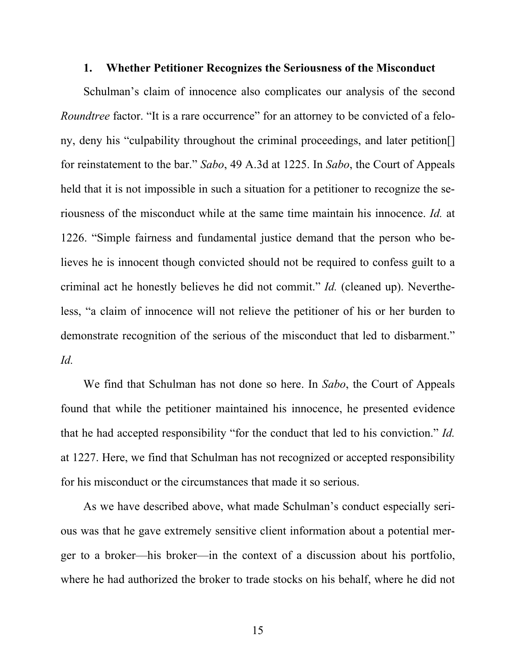#### **1. Whether Petitioner Recognizes the Seriousness of the Misconduct**

Schulman's claim of innocence also complicates our analysis of the second *Roundtree* factor. "It is a rare occurrence" for an attorney to be convicted of a felony, deny his "culpability throughout the criminal proceedings, and later petition[] for reinstatement to the bar." *Sabo*, 49 A.3d at 1225. In *Sabo*, the Court of Appeals held that it is not impossible in such a situation for a petitioner to recognize the seriousness of the misconduct while at the same time maintain his innocence. *Id.* at 1226. "Simple fairness and fundamental justice demand that the person who believes he is innocent though convicted should not be required to confess guilt to a criminal act he honestly believes he did not commit." *Id.* (cleaned up). Nevertheless, "a claim of innocence will not relieve the petitioner of his or her burden to demonstrate recognition of the serious of the misconduct that led to disbarment." *Id.*

We find that Schulman has not done so here. In *Sabo*, the Court of Appeals found that while the petitioner maintained his innocence, he presented evidence that he had accepted responsibility "for the conduct that led to his conviction." *Id.* at 1227. Here, we find that Schulman has not recognized or accepted responsibility for his misconduct or the circumstances that made it so serious.

As we have described above, what made Schulman's conduct especially serious was that he gave extremely sensitive client information about a potential merger to a broker—his broker—in the context of a discussion about his portfolio, where he had authorized the broker to trade stocks on his behalf, where he did not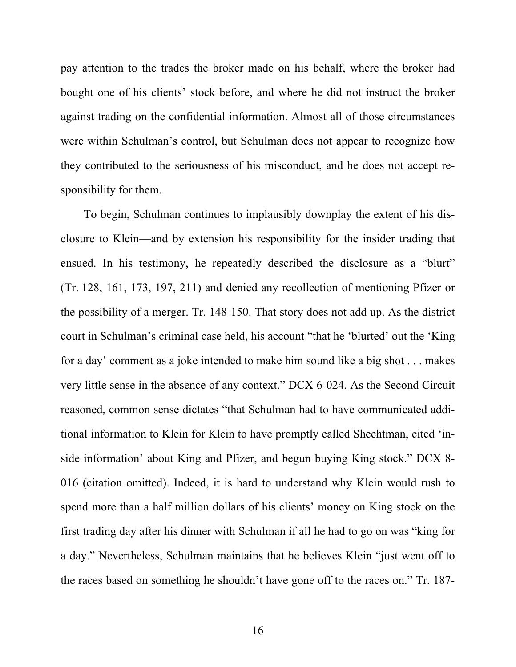pay attention to the trades the broker made on his behalf, where the broker had bought one of his clients' stock before, and where he did not instruct the broker against trading on the confidential information. Almost all of those circumstances were within Schulman's control, but Schulman does not appear to recognize how they contributed to the seriousness of his misconduct, and he does not accept responsibility for them.

To begin, Schulman continues to implausibly downplay the extent of his disclosure to Klein—and by extension his responsibility for the insider trading that ensued. In his testimony, he repeatedly described the disclosure as a "blurt" (Tr. 128, 161, 173, 197, 211) and denied any recollection of mentioning Pfizer or the possibility of a merger. Tr. 148-150. That story does not add up. As the district court in Schulman's criminal case held, his account "that he 'blurted' out the 'King for a day' comment as a joke intended to make him sound like a big shot . . . makes very little sense in the absence of any context." DCX 6-024. As the Second Circuit reasoned, common sense dictates "that Schulman had to have communicated additional information to Klein for Klein to have promptly called Shechtman, cited 'inside information' about King and Pfizer, and begun buying King stock." DCX 8- 016 (citation omitted). Indeed, it is hard to understand why Klein would rush to spend more than a half million dollars of his clients' money on King stock on the first trading day after his dinner with Schulman if all he had to go on was "king for a day." Nevertheless, Schulman maintains that he believes Klein "just went off to the races based on something he shouldn't have gone off to the races on." Tr. 187-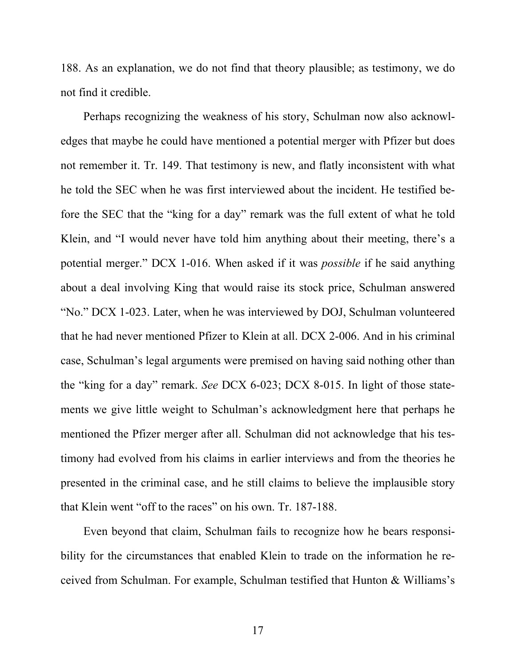188. As an explanation, we do not find that theory plausible; as testimony, we do not find it credible.

Perhaps recognizing the weakness of his story, Schulman now also acknowledges that maybe he could have mentioned a potential merger with Pfizer but does not remember it. Tr. 149. That testimony is new, and flatly inconsistent with what he told the SEC when he was first interviewed about the incident. He testified before the SEC that the "king for a day" remark was the full extent of what he told Klein, and "I would never have told him anything about their meeting, there's a potential merger." DCX 1-016. When asked if it was *possible* if he said anything about a deal involving King that would raise its stock price, Schulman answered "No." DCX 1-023. Later, when he was interviewed by DOJ, Schulman volunteered that he had never mentioned Pfizer to Klein at all. DCX 2-006. And in his criminal case, Schulman's legal arguments were premised on having said nothing other than the "king for a day" remark. *See* DCX 6-023; DCX 8-015. In light of those statements we give little weight to Schulman's acknowledgment here that perhaps he mentioned the Pfizer merger after all. Schulman did not acknowledge that his testimony had evolved from his claims in earlier interviews and from the theories he presented in the criminal case, and he still claims to believe the implausible story that Klein went "off to the races" on his own. Tr. 187-188.

Even beyond that claim, Schulman fails to recognize how he bears responsibility for the circumstances that enabled Klein to trade on the information he received from Schulman. For example, Schulman testified that Hunton & Williams's

17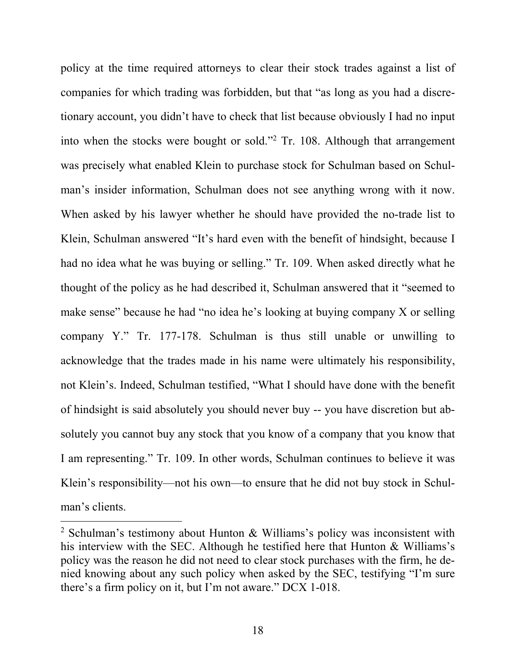policy at the time required attorneys to clear their stock trades against a list of companies for which trading was forbidden, but that "as long as you had a discretionary account, you didn't have to check that list because obviously I had no input into when the stocks were bought or sold."<sup>2</sup> Tr. 108. Although that arrangement was precisely what enabled Klein to purchase stock for Schulman based on Schulman's insider information, Schulman does not see anything wrong with it now. When asked by his lawyer whether he should have provided the no-trade list to Klein, Schulman answered "It's hard even with the benefit of hindsight, because I had no idea what he was buying or selling." Tr. 109. When asked directly what he thought of the policy as he had described it, Schulman answered that it "seemed to make sense" because he had "no idea he's looking at buying company X or selling company Y." Tr. 177-178. Schulman is thus still unable or unwilling to acknowledge that the trades made in his name were ultimately his responsibility, not Klein's. Indeed, Schulman testified, "What I should have done with the benefit of hindsight is said absolutely you should never buy -- you have discretion but absolutely you cannot buy any stock that you know of a company that you know that I am representing." Tr. 109. In other words, Schulman continues to believe it was Klein's responsibility—not his own—to ensure that he did not buy stock in Schulman's clients.

<sup>&</sup>lt;sup>2</sup> Schulman's testimony about Hunton & Williams's policy was inconsistent with his interview with the SEC. Although he testified here that Hunton & Williams's policy was the reason he did not need to clear stock purchases with the firm, he denied knowing about any such policy when asked by the SEC, testifying "I'm sure there's a firm policy on it, but I'm not aware." DCX 1-018.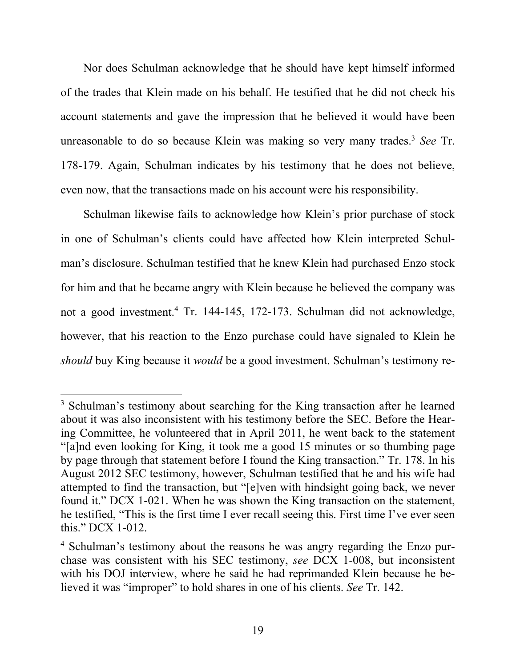Nor does Schulman acknowledge that he should have kept himself informed of the trades that Klein made on his behalf. He testified that he did not check his account statements and gave the impression that he believed it would have been unreasonable to do so because Klein was making so very many trades.<sup>3</sup> *See* Tr. 178-179. Again, Schulman indicates by his testimony that he does not believe, even now, that the transactions made on his account were his responsibility.

Schulman likewise fails to acknowledge how Klein's prior purchase of stock in one of Schulman's clients could have affected how Klein interpreted Schulman's disclosure. Schulman testified that he knew Klein had purchased Enzo stock for him and that he became angry with Klein because he believed the company was not a good investment.<sup>4</sup> Tr. 144-145, 172-173. Schulman did not acknowledge, however, that his reaction to the Enzo purchase could have signaled to Klein he *should* buy King because it *would* be a good investment. Schulman's testimony re-

<sup>&</sup>lt;sup>3</sup> Schulman's testimony about searching for the King transaction after he learned about it was also inconsistent with his testimony before the SEC. Before the Hearing Committee, he volunteered that in April 2011, he went back to the statement "[a]nd even looking for King, it took me a good 15 minutes or so thumbing page by page through that statement before I found the King transaction." Tr. 178. In his August 2012 SEC testimony, however, Schulman testified that he and his wife had attempted to find the transaction, but "[e]ven with hindsight going back, we never found it." DCX 1-021. When he was shown the King transaction on the statement, he testified, "This is the first time I ever recall seeing this. First time I've ever seen this." DCX 1-012.

<sup>&</sup>lt;sup>4</sup> Schulman's testimony about the reasons he was angry regarding the Enzo purchase was consistent with his SEC testimony, *see* DCX 1-008, but inconsistent with his DOJ interview, where he said he had reprimanded Klein because he believed it was "improper" to hold shares in one of his clients. *See* Tr. 142.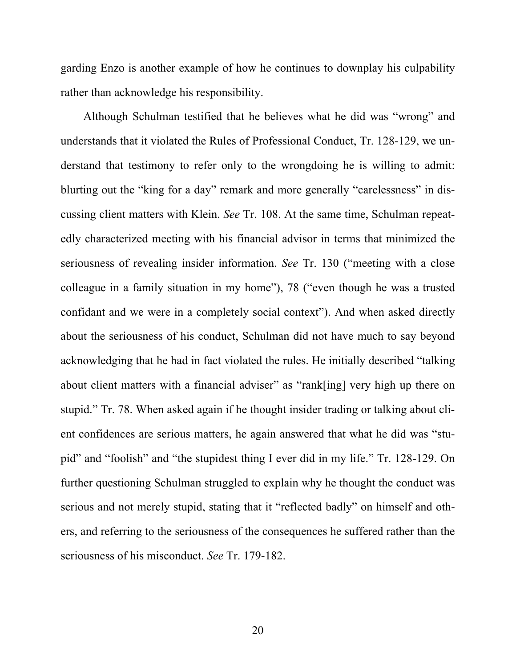garding Enzo is another example of how he continues to downplay his culpability rather than acknowledge his responsibility.

Although Schulman testified that he believes what he did was "wrong" and understands that it violated the Rules of Professional Conduct, Tr. 128-129, we understand that testimony to refer only to the wrongdoing he is willing to admit: blurting out the "king for a day" remark and more generally "carelessness" in discussing client matters with Klein. *See* Tr. 108. At the same time, Schulman repeatedly characterized meeting with his financial advisor in terms that minimized the seriousness of revealing insider information. *See* Tr. 130 ("meeting with a close colleague in a family situation in my home"), 78 ("even though he was a trusted confidant and we were in a completely social context"). And when asked directly about the seriousness of his conduct, Schulman did not have much to say beyond acknowledging that he had in fact violated the rules. He initially described "talking about client matters with a financial adviser" as "rank[ing] very high up there on stupid." Tr. 78. When asked again if he thought insider trading or talking about client confidences are serious matters, he again answered that what he did was "stupid" and "foolish" and "the stupidest thing I ever did in my life." Tr. 128-129. On further questioning Schulman struggled to explain why he thought the conduct was serious and not merely stupid, stating that it "reflected badly" on himself and others, and referring to the seriousness of the consequences he suffered rather than the seriousness of his misconduct. *See* Tr. 179-182.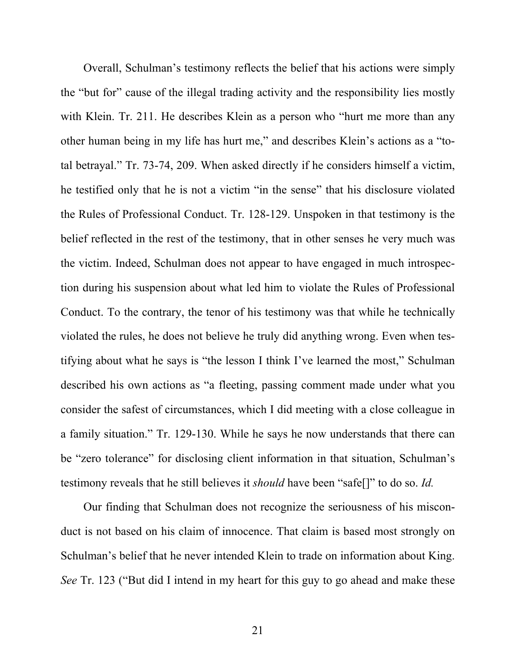Overall, Schulman's testimony reflects the belief that his actions were simply the "but for" cause of the illegal trading activity and the responsibility lies mostly with Klein. Tr. 211. He describes Klein as a person who "hurt me more than any other human being in my life has hurt me," and describes Klein's actions as a "total betrayal." Tr. 73-74, 209. When asked directly if he considers himself a victim, he testified only that he is not a victim "in the sense" that his disclosure violated the Rules of Professional Conduct. Tr. 128-129. Unspoken in that testimony is the belief reflected in the rest of the testimony, that in other senses he very much was the victim. Indeed, Schulman does not appear to have engaged in much introspection during his suspension about what led him to violate the Rules of Professional Conduct. To the contrary, the tenor of his testimony was that while he technically violated the rules, he does not believe he truly did anything wrong. Even when testifying about what he says is "the lesson I think I've learned the most," Schulman described his own actions as "a fleeting, passing comment made under what you consider the safest of circumstances, which I did meeting with a close colleague in a family situation." Tr. 129-130. While he says he now understands that there can be "zero tolerance" for disclosing client information in that situation, Schulman's testimony reveals that he still believes it *should* have been "safe[]" to do so. *Id.* 

Our finding that Schulman does not recognize the seriousness of his misconduct is not based on his claim of innocence. That claim is based most strongly on Schulman's belief that he never intended Klein to trade on information about King. *See* Tr. 123 ("But did I intend in my heart for this guy to go ahead and make these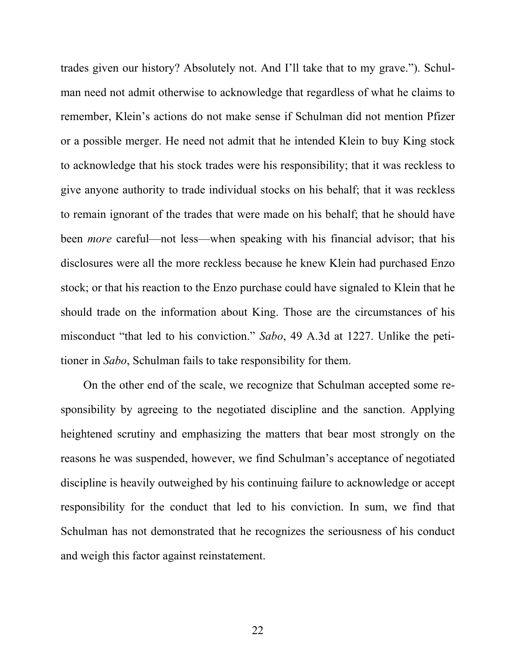trades given our history? Absolutely not. And I'll take that to my grave."). Schulman need not admit otherwise to acknowledge that regardless of what he claims to remember, Klein's actions do not make sense if Schulman did not mention Pfizer or a possible merger. He need not admit that he intended Klein to buy King stock to acknowledge that his stock trades were his responsibility; that it was reckless to give anyone authority to trade individual stocks on his behalf; that it was reckless to remain ignorant of the trades that were made on his behalf; that he should have been *more* careful—not less—when speaking with his financial advisor; that his disclosures were all the more reckless because he knew Klein had purchased Enzo stock; or that his reaction to the Enzo purchase could have signaled to Klein that he should trade on the information about King. Those are the circumstances of his misconduct "that led to his conviction." *Sabo*, 49 A.3d at 1227. Unlike the petitioner in *Sabo*, Schulman fails to take responsibility for them.

On the other end of the scale, we recognize that Schulman accepted some responsibility by agreeing to the negotiated discipline and the sanction. Applying heightened scrutiny and emphasizing the matters that bear most strongly on the reasons he was suspended, however, we find Schulman's acceptance of negotiated discipline is heavily outweighed by his continuing failure to acknowledge or accept responsibility for the conduct that led to his conviction. In sum, we find that Schulman has not demonstrated that he recognizes the seriousness of his conduct and weigh this factor against reinstatement.

22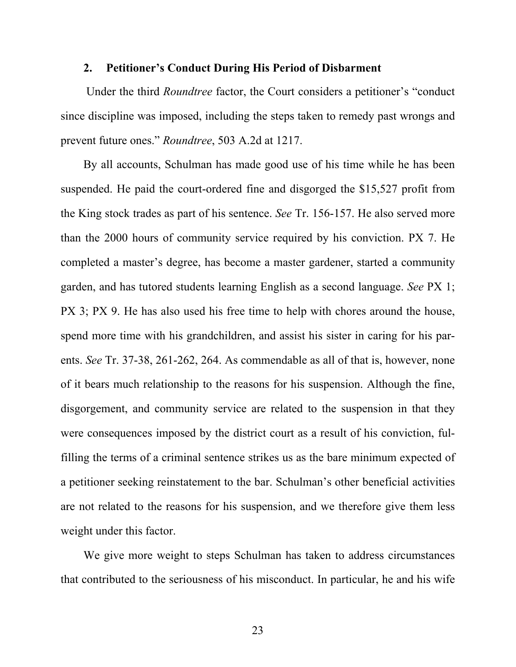#### **2. Petitioner's Conduct During His Period of Disbarment**

 Under the third *Roundtree* factor, the Court considers a petitioner's "conduct since discipline was imposed, including the steps taken to remedy past wrongs and prevent future ones." *Roundtree*, 503 A.2d at 1217.

By all accounts, Schulman has made good use of his time while he has been suspended. He paid the court-ordered fine and disgorged the \$15,527 profit from the King stock trades as part of his sentence. *See* Tr. 156-157. He also served more than the 2000 hours of community service required by his conviction. PX 7. He completed a master's degree, has become a master gardener, started a community garden, and has tutored students learning English as a second language. *See* PX 1; PX 3; PX 9. He has also used his free time to help with chores around the house, spend more time with his grandchildren, and assist his sister in caring for his parents. *See* Tr. 37-38, 261-262, 264. As commendable as all of that is, however, none of it bears much relationship to the reasons for his suspension. Although the fine, disgorgement, and community service are related to the suspension in that they were consequences imposed by the district court as a result of his conviction, fulfilling the terms of a criminal sentence strikes us as the bare minimum expected of a petitioner seeking reinstatement to the bar. Schulman's other beneficial activities are not related to the reasons for his suspension, and we therefore give them less weight under this factor.

We give more weight to steps Schulman has taken to address circumstances that contributed to the seriousness of his misconduct. In particular, he and his wife

23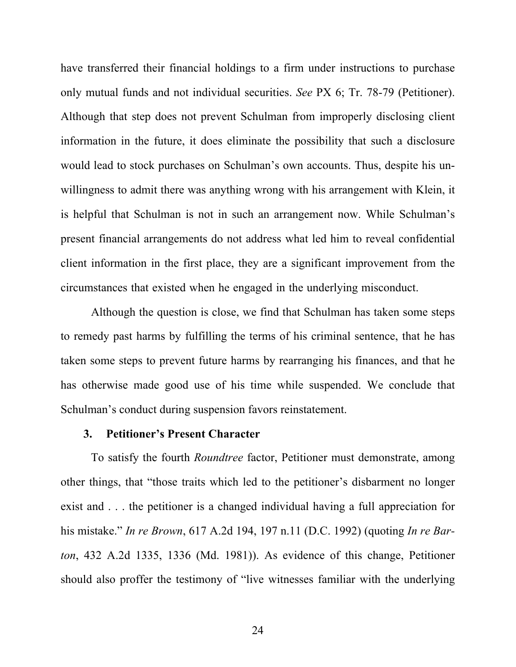have transferred their financial holdings to a firm under instructions to purchase only mutual funds and not individual securities. *See* PX 6; Tr. 78-79 (Petitioner). Although that step does not prevent Schulman from improperly disclosing client information in the future, it does eliminate the possibility that such a disclosure would lead to stock purchases on Schulman's own accounts. Thus, despite his unwillingness to admit there was anything wrong with his arrangement with Klein, it is helpful that Schulman is not in such an arrangement now. While Schulman's present financial arrangements do not address what led him to reveal confidential client information in the first place, they are a significant improvement from the circumstances that existed when he engaged in the underlying misconduct.

Although the question is close, we find that Schulman has taken some steps to remedy past harms by fulfilling the terms of his criminal sentence, that he has taken some steps to prevent future harms by rearranging his finances, and that he has otherwise made good use of his time while suspended. We conclude that Schulman's conduct during suspension favors reinstatement.

#### **3. Petitioner's Present Character**

To satisfy the fourth *Roundtree* factor, Petitioner must demonstrate, among other things, that "those traits which led to the petitioner's disbarment no longer exist and . . . the petitioner is a changed individual having a full appreciation for his mistake." *In re Brown*, 617 A.2d 194, 197 n.11 (D.C. 1992) (quoting *In re Barton*, 432 A.2d 1335, 1336 (Md. 1981)). As evidence of this change, Petitioner should also proffer the testimony of "live witnesses familiar with the underlying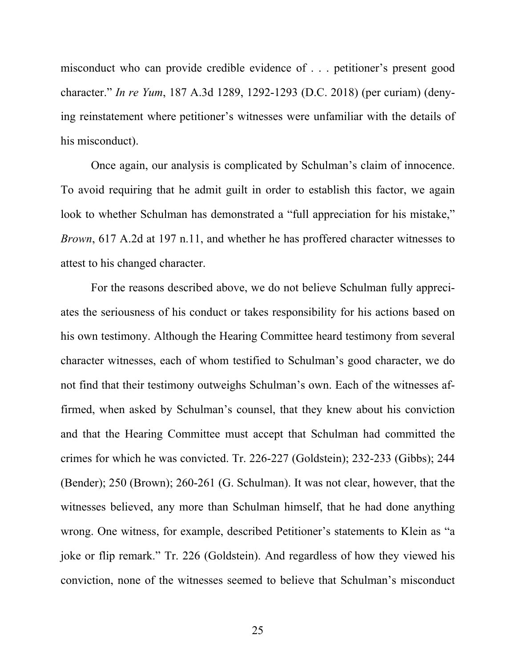misconduct who can provide credible evidence of . . . petitioner's present good character." *In re Yum*, 187 A.3d 1289, 1292-1293 (D.C. 2018) (per curiam) (denying reinstatement where petitioner's witnesses were unfamiliar with the details of his misconduct).

Once again, our analysis is complicated by Schulman's claim of innocence. To avoid requiring that he admit guilt in order to establish this factor, we again look to whether Schulman has demonstrated a "full appreciation for his mistake," *Brown*, 617 A.2d at 197 n.11, and whether he has proffered character witnesses to attest to his changed character.

For the reasons described above, we do not believe Schulman fully appreciates the seriousness of his conduct or takes responsibility for his actions based on his own testimony. Although the Hearing Committee heard testimony from several character witnesses, each of whom testified to Schulman's good character, we do not find that their testimony outweighs Schulman's own. Each of the witnesses affirmed, when asked by Schulman's counsel, that they knew about his conviction and that the Hearing Committee must accept that Schulman had committed the crimes for which he was convicted. Tr. 226-227 (Goldstein); 232-233 (Gibbs); 244 (Bender); 250 (Brown); 260-261 (G. Schulman). It was not clear, however, that the witnesses believed, any more than Schulman himself, that he had done anything wrong. One witness, for example, described Petitioner's statements to Klein as "a joke or flip remark." Tr. 226 (Goldstein). And regardless of how they viewed his conviction, none of the witnesses seemed to believe that Schulman's misconduct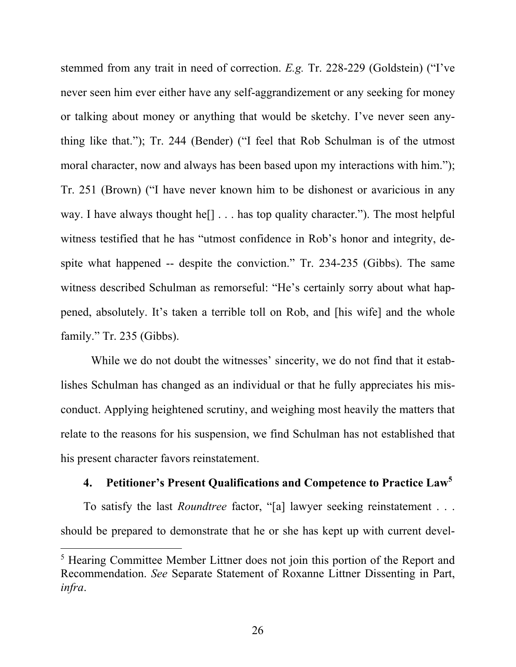stemmed from any trait in need of correction. *E.g.* Tr. 228-229 (Goldstein) ("I've never seen him ever either have any self-aggrandizement or any seeking for money or talking about money or anything that would be sketchy. I've never seen anything like that."); Tr. 244 (Bender) ("I feel that Rob Schulman is of the utmost moral character, now and always has been based upon my interactions with him."); Tr. 251 (Brown) ("I have never known him to be dishonest or avaricious in any way. I have always thought he<sup>[]</sup> . . . has top quality character."). The most helpful witness testified that he has "utmost confidence in Rob's honor and integrity, despite what happened -- despite the conviction." Tr. 234-235 (Gibbs). The same witness described Schulman as remorseful: "He's certainly sorry about what happened, absolutely. It's taken a terrible toll on Rob, and [his wife] and the whole family." Tr. 235 (Gibbs).

While we do not doubt the witnesses' sincerity, we do not find that it establishes Schulman has changed as an individual or that he fully appreciates his misconduct. Applying heightened scrutiny, and weighing most heavily the matters that relate to the reasons for his suspension, we find Schulman has not established that his present character favors reinstatement.

## **4. Petitioner's Present Qualifications and Competence to Practice Law<sup>5</sup>**

To satisfy the last *Roundtree* factor, "[a] lawyer seeking reinstatement . . . should be prepared to demonstrate that he or she has kept up with current devel-

<sup>&</sup>lt;sup>5</sup> Hearing Committee Member Littner does not join this portion of the Report and Recommendation. *See* Separate Statement of Roxanne Littner Dissenting in Part, *infra*.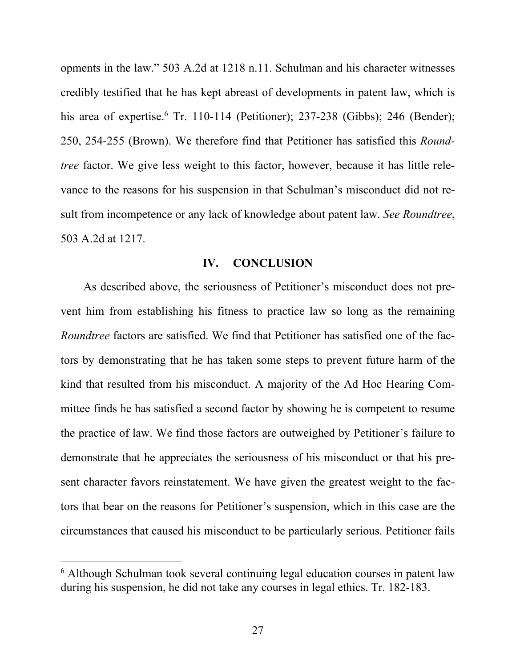opments in the law." 503 A.2d at 1218 n.11. Schulman and his character witnesses credibly testified that he has kept abreast of developments in patent law, which is his area of expertise.<sup>6</sup> Tr. 110-114 (Petitioner); 237-238 (Gibbs); 246 (Bender); 250, 254-255 (Brown). We therefore find that Petitioner has satisfied this *Roundtree* factor. We give less weight to this factor, however, because it has little relevance to the reasons for his suspension in that Schulman's misconduct did not result from incompetence or any lack of knowledge about patent law. *See Roundtree*, 503 A.2d at 1217.

### **IV. CONCLUSION**

As described above, the seriousness of Petitioner's misconduct does not prevent him from establishing his fitness to practice law so long as the remaining *Roundtree* factors are satisfied. We find that Petitioner has satisfied one of the factors by demonstrating that he has taken some steps to prevent future harm of the kind that resulted from his misconduct. A majority of the Ad Hoc Hearing Committee finds he has satisfied a second factor by showing he is competent to resume the practice of law. We find those factors are outweighed by Petitioner's failure to demonstrate that he appreciates the seriousness of his misconduct or that his present character favors reinstatement. We have given the greatest weight to the factors that bear on the reasons for Petitioner's suspension, which in this case are the circumstances that caused his misconduct to be particularly serious. Petitioner fails

<sup>&</sup>lt;sup>6</sup> Although Schulman took several continuing legal education courses in patent law during his suspension, he did not take any courses in legal ethics. Tr. 182-183.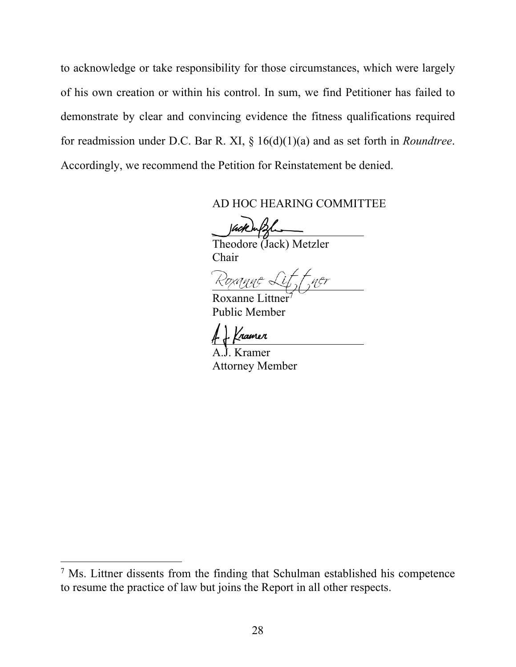to acknowledge or take responsibility for those circumstances, which were largely of his own creation or within his control. In sum, we find Petitioner has failed to demonstrate by clear and convincing evidence the fitness qualifications required for readmission under D.C. Bar R. XI, § 16(d)(1)(a) and as set forth in *Roundtree*. Accordingly, we recommend the Petition for Reinstatement be denied.

### AD HOC HEARING COMMITTEE

Vackwalshi

 Theodore (Jack) Metzler Chair

Roxanne Lif, fner

Roxanne Littner Public Member

. Kramer

 A.J. Kramer Attorney Member

<sup>&</sup>lt;sup>7</sup> Ms. Littner dissents from the finding that Schulman established his competence to resume the practice of law but joins the Report in all other respects.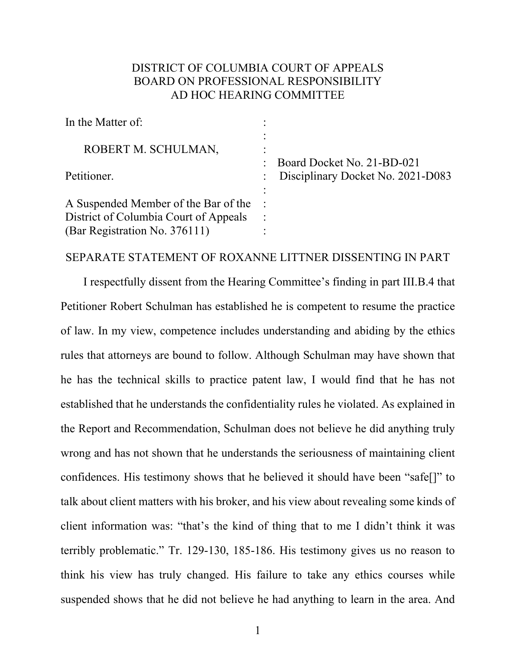# DISTRICT OF COLUMBIA COURT OF APPEALS BOARD ON PROFESSIONAL RESPONSIBILITY AD HOC HEARING COMMITTEE

| In the Matter of:                     |                        |                                   |
|---------------------------------------|------------------------|-----------------------------------|
| ROBERT M. SCHULMAN,                   | $\bullet$<br>$\bullet$ | Board Docket No. 21-BD-021        |
| Petitioner.                           |                        | Disciplinary Docket No. 2021-D083 |
| A Suspended Member of the Bar of the  |                        |                                   |
| District of Columbia Court of Appeals |                        |                                   |
| (Bar Registration No. 376111)         |                        |                                   |

#### SEPARATE STATEMENT OF ROXANNE LITTNER DISSENTING IN PART

I respectfully dissent from the Hearing Committee's finding in part III.B.4 that Petitioner Robert Schulman has established he is competent to resume the practice of law. In my view, competence includes understanding and abiding by the ethics rules that attorneys are bound to follow. Although Schulman may have shown that he has the technical skills to practice patent law, I would find that he has not established that he understands the confidentiality rules he violated. As explained in the Report and Recommendation, Schulman does not believe he did anything truly wrong and has not shown that he understands the seriousness of maintaining client confidences. His testimony shows that he believed it should have been "safe[]" to talk about client matters with his broker, and his view about revealing some kinds of client information was: "that's the kind of thing that to me I didn't think it was terribly problematic." Tr. 129-130, 185-186. His testimony gives us no reason to think his view has truly changed. His failure to take any ethics courses while suspended shows that he did not believe he had anything to learn in the area. And